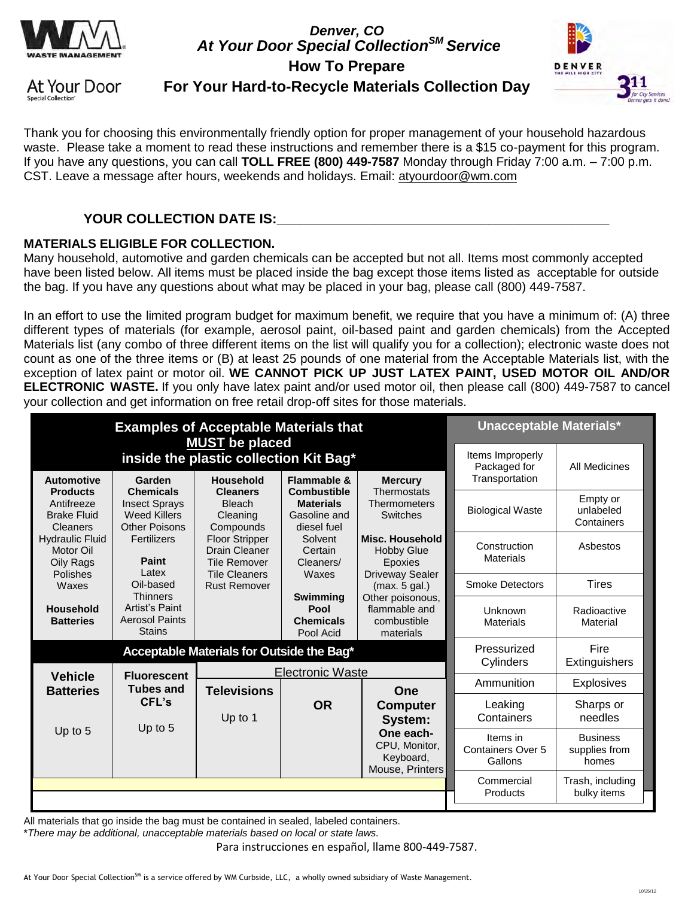

*Denver, CO At Your Door Special CollectionSM Service*  **How To Prepare** 



At Your Door **Special Collection** 

## **For Your Hard-to-Recycle Materials Collection Day**

Thank you for choosing this environmentally friendly option for proper management of your household hazardous waste. Please take a moment to read these instructions and remember there is a \$15 co-payment for this program. If you have any questions, you can call **TOLL FREE (800) 449-7587** Monday through Friday 7:00 a.m. – 7:00 p.m. CST. Leave a message after hours, weekends and holidays. Email: [atyourdoor@wm.com](mailto:atyourdoor@wm.com)

## YOUR COLLECTION DATE IS:

### **MATERIALS ELIGIBLE FOR COLLECTION.**

Many household, automotive and garden chemicals can be accepted but not all. Items most commonly accepted have been listed below. All items must be placed inside the bag except those items listed as acceptable for outside the bag. If you have any questions about what may be placed in your bag, please call (800) 449-7587.

In an effort to use the limited program budget for maximum benefit, we require that you have a minimum of: (A) three different types of materials (for example, aerosol paint, oil-based paint and garden chemicals) from the Accepted Materials list (any combo of three different items on the list will qualify you for a collection); electronic waste does not count as one of the three items or (B) at least 25 pounds of one material from the Acceptable Materials list, with the exception of latex paint or motor oil. **WE CANNOT PICK UP JUST LATEX PAINT, USED MOTOR OIL AND/OR ELECTRONIC WASTE.** If you only have latex paint and/or used motor oil, then please call (800) 449-7587 to cancel your collection and get information on free retail drop-off sites for those materials.

| <b>Examples of Acceptable Materials that</b><br><b>MUST</b> be placed                                               |                                                                                         |                                                                      |                                                                       |                                                               | <b>Unacceptable Materials*</b>                     |                                           |
|---------------------------------------------------------------------------------------------------------------------|-----------------------------------------------------------------------------------------|----------------------------------------------------------------------|-----------------------------------------------------------------------|---------------------------------------------------------------|----------------------------------------------------|-------------------------------------------|
| inside the plastic collection Kit Bag*<br><b>Automotive</b><br>Household<br>Flammable &<br><b>Mercury</b><br>Garden |                                                                                         |                                                                      |                                                                       |                                                               | Items Improperly<br>Packaged for<br>Transportation | <b>All Medicines</b>                      |
| <b>Products</b><br>Antifreeze<br><b>Brake Fluid</b><br>Cleaners                                                     | <b>Chemicals</b><br><b>Insect Sprays</b><br><b>Weed Killers</b><br><b>Other Poisons</b> | <b>Cleaners</b><br><b>Bleach</b><br>Cleaning<br>Compounds            | <b>Combustible</b><br><b>Materials</b><br>Gasoline and<br>diesel fuel | Thermostats<br>Thermometers<br><b>Switches</b>                | <b>Biological Waste</b>                            | Empty or<br>unlabeled<br>Containers       |
| <b>Hydraulic Fluid</b><br>Motor Oil<br>Oily Rags                                                                    | Fertilizers<br>Paint<br>Latex                                                           | <b>Floor Stripper</b><br><b>Drain Cleaner</b><br><b>Tile Remover</b> | Solvent<br>Certain<br>Cleaners/                                       | <b>Misc. Household</b><br><b>Hobby Glue</b><br>Epoxies        | Construction<br><b>Materials</b>                   | Asbestos                                  |
| Polishes<br>Waxes                                                                                                   | Oil-based                                                                               | <b>Tile Cleaners</b><br><b>Rust Remover</b>                          | Waxes                                                                 | <b>Driveway Sealer</b><br>(max. 5 gal.)                       | <b>Smoke Detectors</b>                             | <b>Tires</b>                              |
| <b>Household</b><br><b>Batteries</b>                                                                                | <b>Thinners</b><br>Artist's Paint<br><b>Aerosol Paints</b><br><b>Stains</b>             |                                                                      | <b>Swimming</b><br>Pool<br><b>Chemicals</b><br>Pool Acid              | Other poisonous,<br>flammable and<br>combustible<br>materials | Unknown<br><b>Materials</b>                        | Radioactive<br>Material                   |
| Acceptable Materials for Outside the Bag*                                                                           |                                                                                         |                                                                      |                                                                       |                                                               | Pressurized<br>Cylinders                           | Fire<br>Extinguishers                     |
| <b>Vehicle</b><br><b>Batteries</b>                                                                                  | <b>Fluorescent</b><br><b>Tubes and</b>                                                  | <b>Televisions</b>                                                   | <b>Electronic Waste</b>                                               | One                                                           | Ammunition                                         | Explosives                                |
|                                                                                                                     | CFL's<br>Up to 5                                                                        | Up to 1                                                              | <b>OR</b>                                                             | <b>Computer</b><br>System:                                    | Leaking<br>Containers                              | Sharps or<br>needles                      |
| Up to 5                                                                                                             |                                                                                         |                                                                      |                                                                       | One each-<br>CPU, Monitor,<br>Keyboard,<br>Mouse, Printers    | Items in<br><b>Containers Over 5</b><br>Gallons    | <b>Business</b><br>supplies from<br>homes |
|                                                                                                                     |                                                                                         |                                                                      |                                                                       |                                                               | Commercial<br>Products                             | Trash, including<br>bulky items           |

All materials that go inside the bag must be contained in sealed, labeled containers.

\**There may be additional, unacceptable materials based on local or state laws.* 

Para instrucciones en español, llame 800-449-7587.